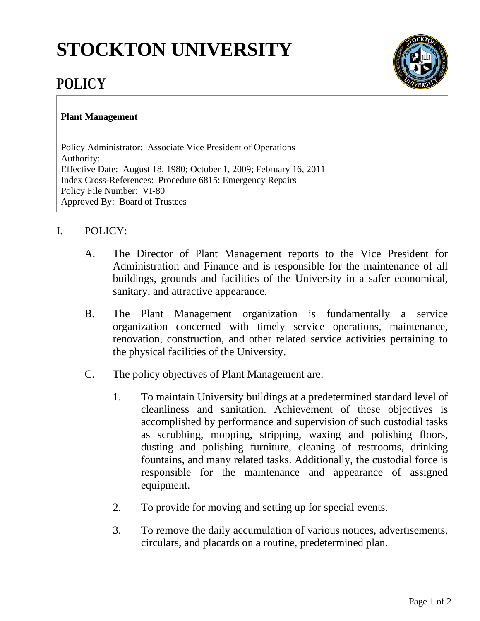## **STOCKTON UNIVERSITY**



## **POLICY**

## **Plant Management**

Policy Administrator: Associate Vice President of Operations Authority: Effective Date: August 18, 1980; October 1, 2009; February 16, 2011 Index Cross-References: Procedure 6815: Emergency Repairs Policy File Number: VI-80 Approved By: Board of Trustees

## I. POLICY:

- A. The Director of Plant Management reports to the Vice President for Administration and Finance and is responsible for the maintenance of all buildings, grounds and facilities of the University in a safer economical, sanitary, and attractive appearance.
- B. The Plant Management organization is fundamentally a service organization concerned with timely service operations, maintenance, renovation, construction, and other related service activities pertaining to the physical facilities of the University.
- C. The policy objectives of Plant Management are:
	- 1. To maintain University buildings at a predetermined standard level of cleanliness and sanitation. Achievement of these objectives is accomplished by performance and supervision of such custodial tasks as scrubbing, mopping, stripping, waxing and polishing floors, dusting and polishing furniture, cleaning of restrooms, drinking fountains, and many related tasks. Additionally, the custodial force is responsible for the maintenance and appearance of assigned equipment.
	- 2. To provide for moving and setting up for special events.
	- 3. To remove the daily accumulation of various notices, advertisements, circulars, and placards on a routine, predetermined plan.